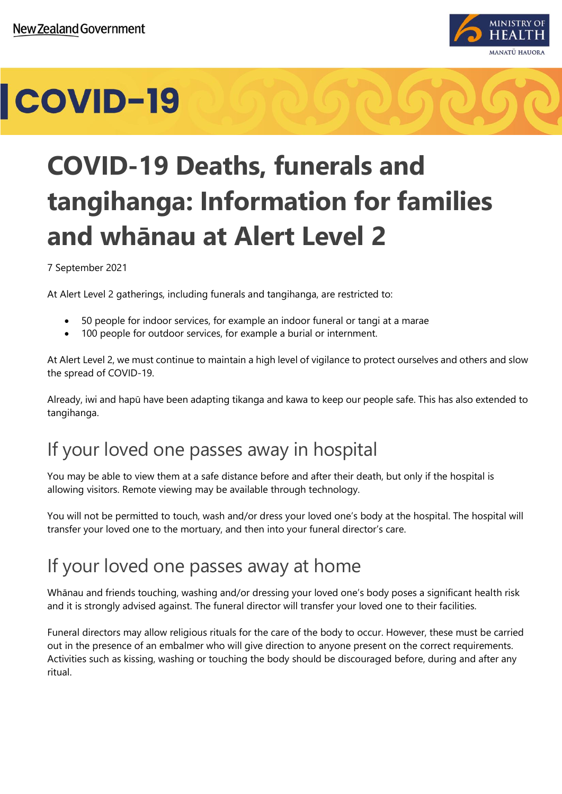

# **COVID-19**



#### 7 September 2021

At Alert Level 2 gatherings, including funerals and tangihanga, are restricted to:

- 50 people for indoor services, for example an indoor funeral or tangi at a marae
- 100 people for outdoor services, for example a burial or internment.

At Alert Level 2, we must continue to maintain a high level of vigilance to protect ourselves and others and slow the spread of COVID-19.

Already, iwi and hapū have been adapting tikanga and kawa to keep our people safe. This has also extended to tangihanga.

### If your loved one passes away in hospital

You may be able to view them at a safe distance before and after their death, but only if the hospital is allowing visitors. Remote viewing may be available through technology.

You will not be permitted to touch, wash and/or dress your loved one's body at the hospital. The hospital will transfer your loved one to the mortuary, and then into your funeral director's care.

### If your loved one passes away at home

Whānau and friends touching, washing and/or dressing your loved one's body poses a significant health risk and it is strongly advised against. The funeral director will transfer your loved one to their facilities.

Funeral directors may allow religious rituals for the care of the body to occur. However, these must be carried out in the presence of an embalmer who will give direction to anyone present on the correct requirements. Activities such as kissing, washing or touching the body should be discouraged before, during and after any ritual.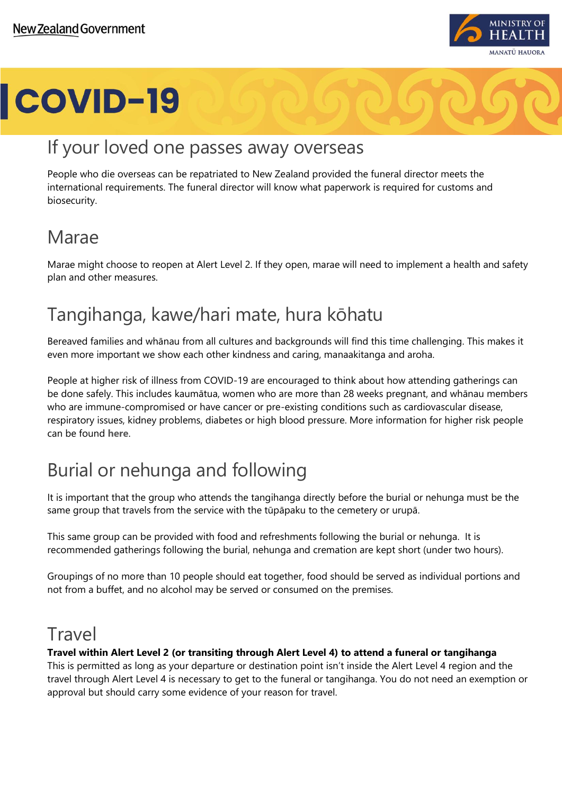

# **COVID-19**

### If your loved one passes away overseas

People who die overseas can be repatriated to New Zealand provided the funeral director meets the international requirements. The funeral director will know what paperwork is required for customs and biosecurity.

## Marae

Marae might choose to reopen at Alert Level 2. If they open, marae will need to implement a health and safety plan and other measures.

## Tangihanga, kawe/hari mate, hura kōhatu

Bereaved families and whānau from all cultures and backgrounds will find this time challenging. This makes it even more important we show each other kindness and caring, manaakitanga and aroha.

People at higher risk of illness from COVID-19 are encouraged to think about how attending gatherings can be done safely. This includes kaumātua, women who are more than 28 weeks pregnant, and whānau members who are immune-compromised or have cancer or pre-existing conditions such as cardiovascular disease, respiratory issues, kidney problems, diabetes or high blood pressure. More information for higher risk people can be found **[here](https://www.health.govt.nz/our-work/diseases-and-conditions/covid-19-novel-coronavirus/covid-19-information-specific-audiences/covid-19-advice-higher-risk-people)**.

# Burial or nehunga and following

It is important that the group who attends the tangihanga directly before the burial or nehunga must be the same group that travels from the service with the tūpāpaku to the cemetery or urupā.

This same group can be provided with food and refreshments following the burial or nehunga. It is recommended gatherings following the burial, nehunga and cremation are kept short (under two hours).

Groupings of no more than 10 people should eat together, food should be served as individual portions and not from a buffet, and no alcohol may be served or consumed on the premises.

#### Travel

#### **Travel within Alert Level 2 (or transiting through Alert Level 4) to attend a funeral or tangihanga**

This is permitted as long as your departure or destination point isn't inside the Alert Level 4 region and the travel through Alert Level 4 is necessary to get to the funeral or tangihanga. You do not need an exemption or approval but should carry some evidence of your reason for travel.